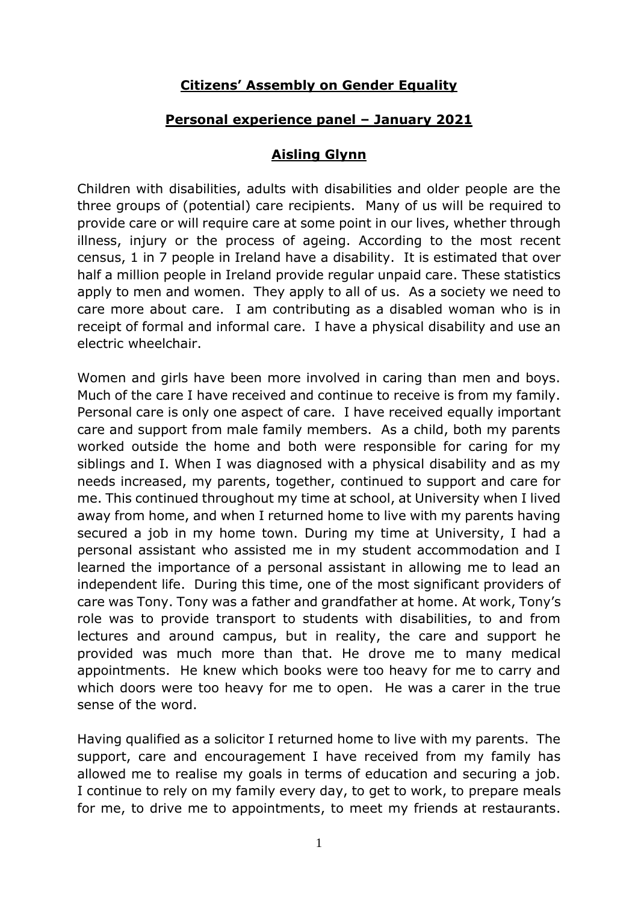## **Citizens' Assembly on Gender Equality**

## **Personal experience panel – January 2021**

## **Aisling Glynn**

Children with disabilities, adults with disabilities and older people are the three groups of (potential) care recipients. Many of us will be required to provide care or will require care at some point in our lives, whether through illness, injury or the process of ageing. According to the most recent census, 1 in 7 people in Ireland have a disability. It is estimated that over half a million people in Ireland provide regular unpaid care. These statistics apply to men and women. They apply to all of us. As a society we need to care more about care. I am contributing as a disabled woman who is in receipt of formal and informal care. I have a physical disability and use an electric wheelchair.

Women and girls have been more involved in caring than men and boys. Much of the care I have received and continue to receive is from my family. Personal care is only one aspect of care. I have received equally important care and support from male family members. As a child, both my parents worked outside the home and both were responsible for caring for my siblings and I. When I was diagnosed with a physical disability and as my needs increased, my parents, together, continued to support and care for me. This continued throughout my time at school, at University when I lived away from home, and when I returned home to live with my parents having secured a job in my home town. During my time at University, I had a personal assistant who assisted me in my student accommodation and I learned the importance of a personal assistant in allowing me to lead an independent life. During this time, one of the most significant providers of care was Tony. Tony was a father and grandfather at home. At work, Tony's role was to provide transport to students with disabilities, to and from lectures and around campus, but in reality, the care and support he provided was much more than that. He drove me to many medical appointments. He knew which books were too heavy for me to carry and which doors were too heavy for me to open. He was a carer in the true sense of the word.

Having qualified as a solicitor I returned home to live with my parents. The support, care and encouragement I have received from my family has allowed me to realise my goals in terms of education and securing a job. I continue to rely on my family every day, to get to work, to prepare meals for me, to drive me to appointments, to meet my friends at restaurants.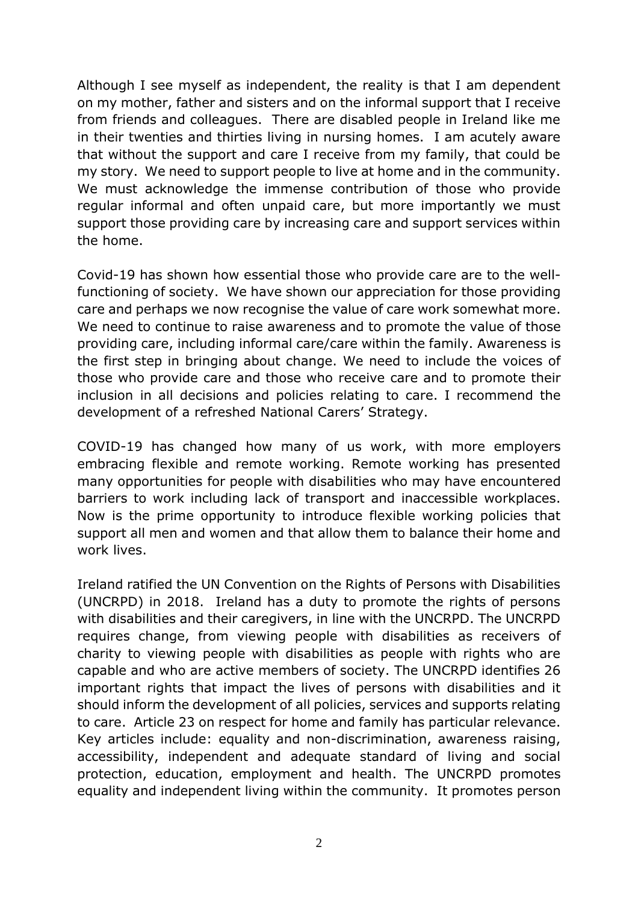Although I see myself as independent, the reality is that I am dependent on my mother, father and sisters and on the informal support that I receive from friends and colleagues. There are disabled people in Ireland like me in their twenties and thirties living in nursing homes. I am acutely aware that without the support and care I receive from my family, that could be my story. We need to support people to live at home and in the community. We must acknowledge the immense contribution of those who provide regular informal and often unpaid care, but more importantly we must support those providing care by increasing care and support services within the home.

Covid-19 has shown how essential those who provide care are to the wellfunctioning of society. We have shown our appreciation for those providing care and perhaps we now recognise the value of care work somewhat more. We need to continue to raise awareness and to promote the value of those providing care, including informal care/care within the family. Awareness is the first step in bringing about change. We need to include the voices of those who provide care and those who receive care and to promote their inclusion in all decisions and policies relating to care. I recommend the development of a refreshed National Carers' Strategy.

COVID-19 has changed how many of us work, with more employers embracing flexible and remote working. Remote working has presented many opportunities for people with disabilities who may have encountered barriers to work including lack of transport and inaccessible workplaces. Now is the prime opportunity to introduce flexible working policies that support all men and women and that allow them to balance their home and work lives.

Ireland ratified the UN Convention on the Rights of Persons with Disabilities (UNCRPD) in 2018. Ireland has a duty to promote the rights of persons with disabilities and their caregivers, in line with the UNCRPD. The UNCRPD requires change, from viewing people with disabilities as receivers of charity to viewing people with disabilities as people with rights who are capable and who are active members of society. The UNCRPD identifies 26 important rights that impact the lives of persons with disabilities and it should inform the development of all policies, services and supports relating to care. Article 23 on respect for home and family has particular relevance. Key articles include: equality and non-discrimination, awareness raising, accessibility, independent and adequate standard of living and social protection, education, employment and health. The UNCRPD promotes equality and independent living within the community. It promotes person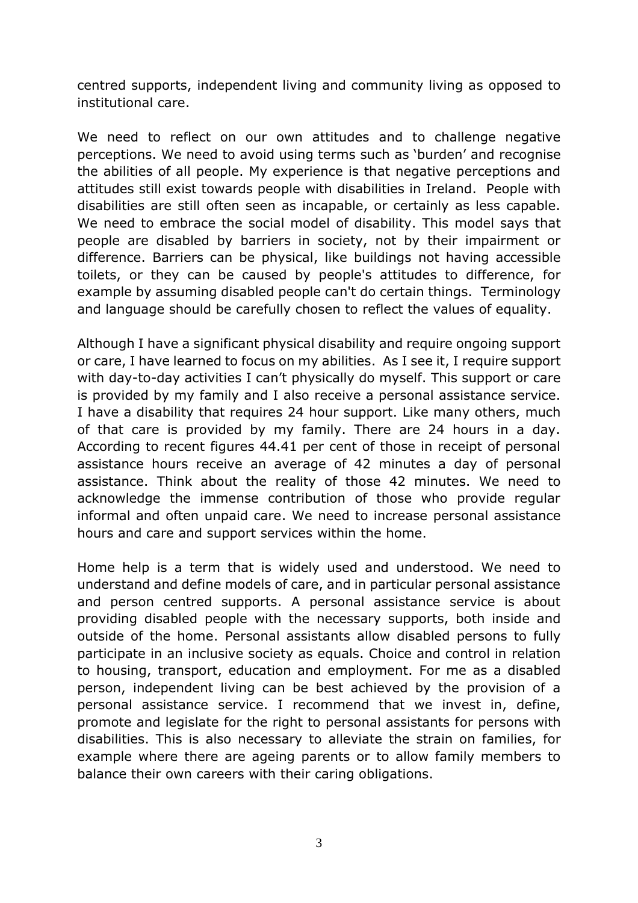centred supports, independent living and community living as opposed to institutional care.

We need to reflect on our own attitudes and to challenge negative perceptions. We need to avoid using terms such as 'burden' and recognise the abilities of all people. My experience is that negative perceptions and attitudes still exist towards people with disabilities in [Ireland.](https://www.irishtimes.com/news) People with disabilities are still often seen as incapable, or certainly as less capable. We need to embrace the social model of disability. This model says that people are disabled by barriers in society, not by their impairment or difference. Barriers can be physical, like buildings not having accessible toilets, or they can be caused by people's attitudes to difference, for example by assuming disabled people can't do certain things. Terminology and language should be carefully chosen to reflect the values of equality.

Although I have a significant physical disability and require ongoing support or care, I have learned to focus on my abilities. As I see it, I require support with day-to-day activities I can't physically do myself. This support or care is provided by my family and I also receive a personal assistance service. I have a disability that requires 24 hour support. Like many others, much of that care is provided by my family. There are 24 hours in a day. According to recent figures 44.41 per cent of those in receipt of personal assistance hours receive an average of 42 minutes a day of personal assistance. Think about the reality of those 42 minutes. We need to acknowledge the immense contribution of those who provide regular informal and often unpaid care. We need to increase personal assistance hours and care and support services within the home.

Home help is a term that is widely used and understood. We need to understand and define models of care, and in particular personal assistance and person centred supports. A personal assistance service is about providing disabled people with the necessary supports, both inside and outside of the home. Personal assistants allow disabled persons to fully participate in an inclusive society as equals. Choice and control in relation to housing, transport, education and employment. For me as a disabled person, independent living can be best achieved by the provision of a personal assistance service. I recommend that we invest in, define, promote and legislate for the right to personal assistants for persons with disabilities. This is also necessary to alleviate the strain on families, for example where there are ageing parents or to allow family members to balance their own careers with their caring obligations.